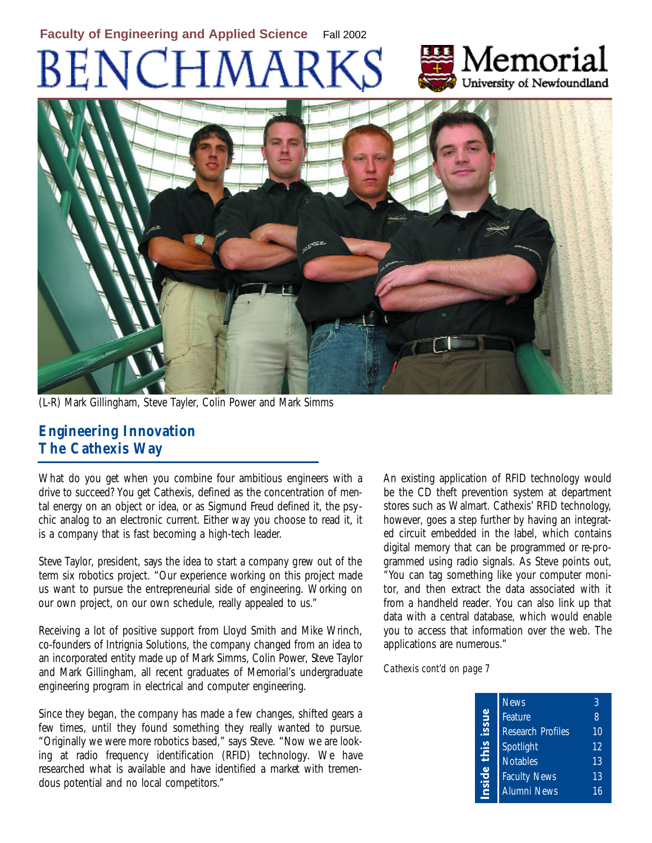# BENCHMARI



(L-R) Mark Gillingham, Steve Tayler, Colin Power and Mark Simms

#### **Engineering Innovation The Cathexis Way**

What do you get when you combine four ambitious engineers with a drive to succeed? You get Cathexis, defined as the concentration of mental energy on an object or idea, or as Sigmund Freud defined it, the psychic analog to an electronic current. Either way you choose to read it, it is a company that is fast becoming a high-tech leader.

Steve Taylor, president, says the idea to start a company grew out of the term six robotics project. "Our experience working on this project made us want to pursue the entrepreneurial side of engineering. Working on our own project, on our own schedule, really appealed to us."

Receiving a lot of positive support from Lloyd Smith and Mike Wrinch, co-founders of Intrignia Solutions, the company changed from an idea to an incorporated entity made up of Mark Simms, Colin Power, Steve Taylor and Mark Gillingham, all recent graduates of Memorial's undergraduate engineering program in electrical and computer engineering.

Since they began, the company has made a few changes, shifted gears a few times, until they found something they really wanted to pursue. "Originally we were more robotics based," says Steve. "Now we are looking at radio frequency identification (RFID) technology. We have researched what is available and have identified a market with tremendous potential and no local competitors."

An existing application of RFID technology would be the CD theft prevention system at department stores such as Walmart. Cathexis' RFID technology, however, goes a step further by having an integrated circuit embedded in the label, which contains digital memory that can be programmed or re-programmed using radio signals. As Steve points out, "You can tag something like your computer monitor, and then extract the data associated with it from a handheld reader. You can also link up that data with a central database, which would enable you to access that information over the web. The applications are numerous."

Memorial

University of Newfoundland

*Cathexis cont'd on page 7*

| <b>News</b>              | 3  |
|--------------------------|----|
| Feature                  | 8  |
| <b>Research Profiles</b> | 10 |
| Spotlight                | 12 |
| <b>Notables</b>          | 13 |
| <b>Faculty News</b>      | 13 |
| <b>Alumni News</b>       | 16 |
|                          |    |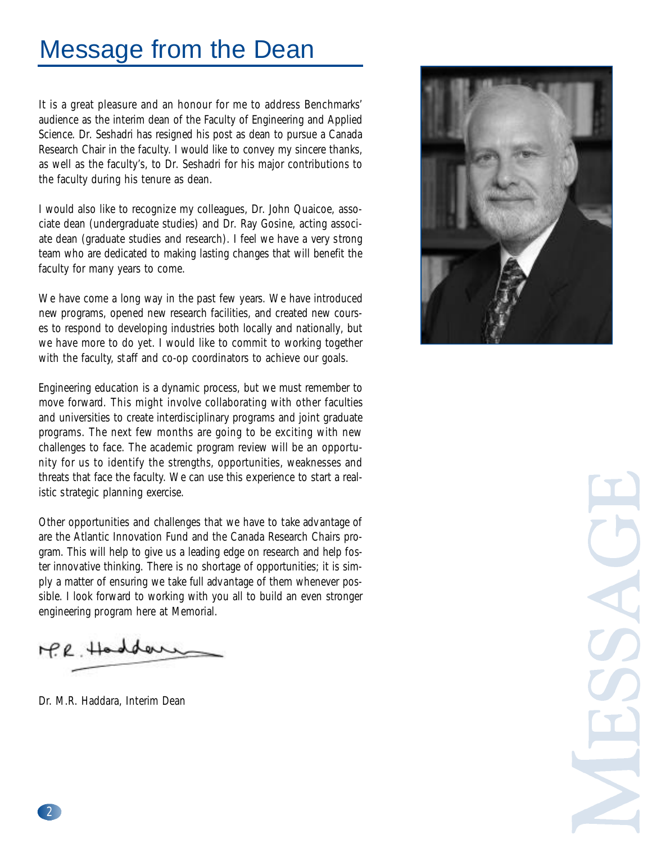### Message from the Dean

It is a great pleasure and an honour for me to address Benchmarks' audience as the interim dean of the Faculty of Engineering and Applied Science. Dr. Seshadri has resigned his post as dean to pursue a Canada Research Chair in the faculty. I would like to convey my sincere thanks, as well as the faculty's, to Dr. Seshadri for his major contributions to the faculty during his tenure as dean.

I would also like to recognize my colleagues, Dr. John Quaicoe, associate dean (undergraduate studies) and Dr. Ray Gosine, acting associate dean (graduate studies and research). I feel we have a very strong team who are dedicated to making lasting changes that will benefit the faculty for many years to come.

We have come a long way in the past few years. We have introduced new programs, opened new research facilities, and created new courses to respond to developing industries both locally and nationally, but we have more to do yet. I would like to commit to working together with the faculty, staff and co-op coordinators to achieve our goals.

Engineering education is a dynamic process, but we must remember to move forward. This might involve collaborating with other faculties and universities to create interdisciplinary programs and joint graduate programs. The next few months are going to be exciting with new challenges to face. The academic program review will be an opportunity for us to identify the strengths, opportunities, weaknesses and threats that face the faculty. We can use this experience to start a realistic strategic planning exercise.

Other opportunities and challenges that we have to take advantage of are the Atlantic Innovation Fund and the Canada Research Chairs program. This will help to give us a leading edge on research and help foster innovative thinking. There is no shortage of opportunities; it is simply a matter of ensuring we take full advantage of them whenever possible. I look forward to working with you all to build an even stronger en gineering program here at Memorial.

 $H.P.$  Had

Dr. M.R. Haddara, Interim Dean

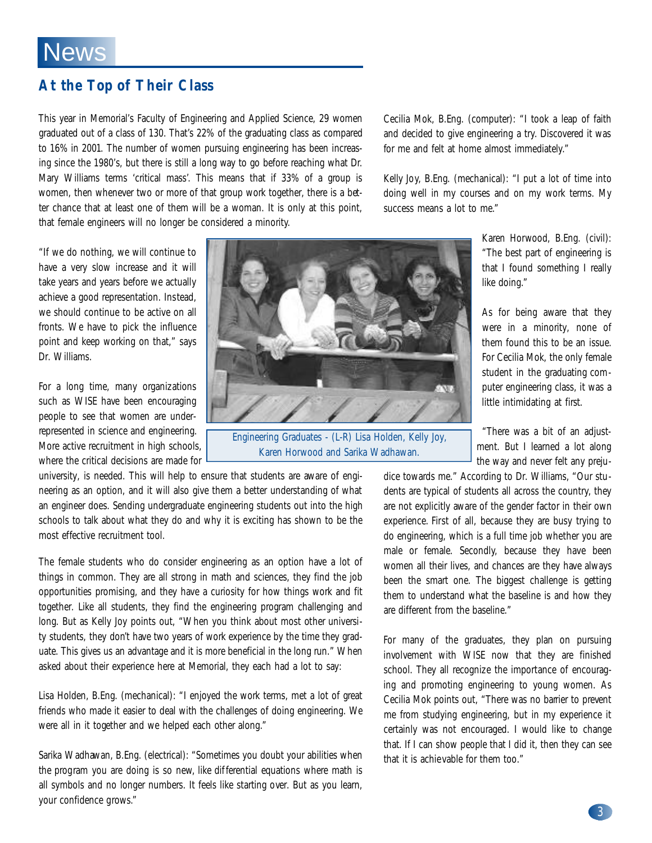#### **At the Top of Their Class**

This year in Memorial's Faculty of Engineering and Applied Science, 29 women graduated out of a class of 130. That's 22% of the graduating class as compared to 16% in 2001. The number of women pursuing engineering has been increasing since the 1980's, but there is still a long way to go before reaching what Dr. Mary Williams terms 'critical mass'. This means that if 33% of a group is women, then whenever two or more of that group work together, there is a better chance that at least one of them will be a woman. It is only at this point, that female engineers will no longer be considered a minority.

Cecilia Mok, B.Eng. (computer): "I took a leap of faith and decided to give engineering a try. Discovered it was for me and felt at home almost immediately."

Kelly Joy, B.Eng. (mechanical): "I put a lot of time into doing well in my courses and on my work terms. My success means a lot to me."

"If we do nothing, we will continue to have a very slow increase and it will take years and years before we actually achieve a good representation. Instead, we should continue to be active on all fronts. We have to pick the influence point and keep working on that," says Dr. Williams.

For a long time, many organizations such as WISE have been encouraging people to see that women are underrepresented in science and engineering. More active recruitment in high schools, where the critical decisions are made for

university, is needed. This will help to ensure that students are aware of engineering as an option, and it will also give them a better understanding of what an engineer does. Sending undergraduate engineering students out into the high schools to talk about what they do and why it is exciting has shown to be the most effective recruitment tool.

The female students who do consider engineering as an option have a lot of things in common. They are all strong in math and sciences, they find the job opportunities promising, and they have a curiosity for how things work and fit together. Like all students, they find the engineering program challenging and long. But as Kelly Joy points out, "When you think about most other university students, they don't have two years of work experience by the time they graduate. This gives us an advantage and it is more beneficial in the long run." When asked about their experience here at Memorial, they each had a lot to say:

Lisa Holden, B.Eng. (mechanical): "I enjoyed the work terms, met a lot of great friends who made it easier to deal with the challenges of doing engineering. We were all in it together and we helped each other along."

Sarika Wadhawan, B.Eng. (electrical): "Sometimes you doubt your abilities when the program you are doing is so new, like differential equations where math is all symbols and no longer numbers. It feels like starting over. But as you learn, your confidence grows."



Engineering Graduates - (L-R) Lisa Holden, Kelly Joy, Karen Horwood and Sarika Wadhawan.

the way and never felt any prejudice towards me." According to Dr. Williams, "Our students are typical of students all across the country, they are not explicitly aware of the gender factor in their own experience. First of all, because they are busy trying to do engineering, which is a full time job whether you are male or female. Secondly, because they have been women all their lives, and chances are they have always been the smart one. The biggest challenge is getting them to understand what the baseline is and how they

For many of the graduates, they plan on pursuing involvement with WISE now that they are finished school. They all recognize the importance of encouraging and promoting engineering to young women. As Cecilia Mok points out, "There was no barrier to prevent me from studying engineering, but in my experience it certainly was not encouraged. I would like to change that. If I can show people that I did it, then they can see that it is achievable for them too."

are different from the baseline."

Karen Horwood, B.Eng. (civil): "The best part of engineering is that I found something I really like doing."

As for being aware that they were in a minority, none of them found this to be an issue. For Cecilia Mok, the only female student in the graduating computer engineering class, it was a little intimidating at first.

"There was a bit of an adjustment. But I learned a lot along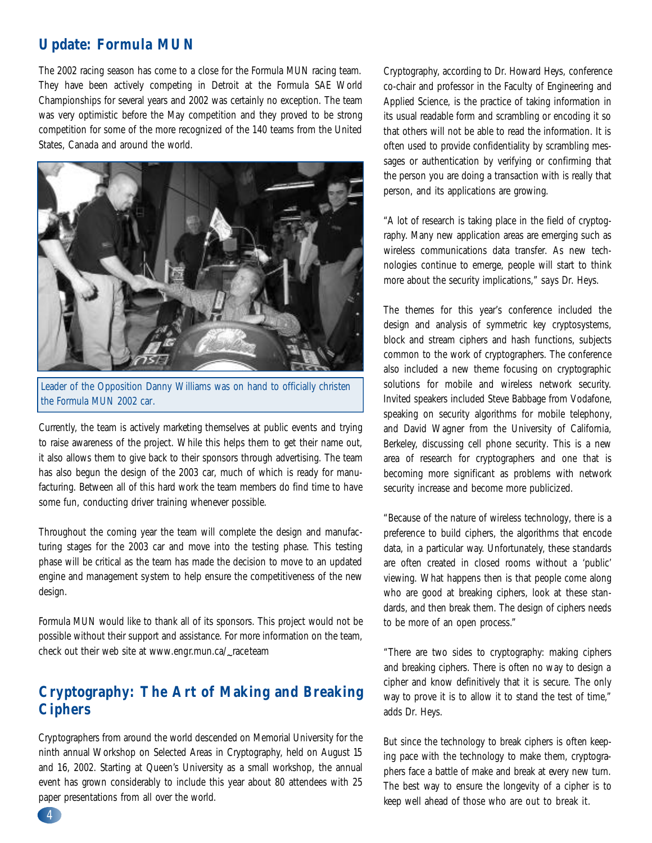#### **Update: Formula MUN**

The 2002 racing season has come to a close for the Formula MUN racing team. They have been actively competing in Detroit at the Formula SAE World Championships for several years and 2002 was certainly no exception. The team was very optimistic before the May competition and they proved to be strong competition for some of the more recognized of the 140 teams from the United States, Canada and around the world.



Leader of the Opposition Danny Williams was on hand to officially christen the Formula MUN 2002 car.

Currently, the team is actively marketing themselves at public events and trying to raise awareness of the project. While this helps them to get their name out, it also allows them to give back to their sponsors through advertising. The team has also begun the design of the 2003 car, much of which is ready for manufacturing. Between all of this hard work the team members do find time to have some fun, conducting driver training whenever possible.

Throughout the coming year the team will complete the design and manufacturing stages for the 2003 car and move into the testing phase. This testing phase will be critical as the team has made the decision to move to an updated engine and management system to help ensure the competitiveness of the new design.

Formula MUN would like to thank all of its sponsors. This project would not be possible without their support and assistance. For more information on the team, check out their web site at www.engr.mun.ca/<mark>\_raceteam</mark>

#### **Cryptography: The Art of Making and Breaking Ciphers**

Cryptographers from around the world descended on Memorial University for the ninth annual Workshop on Selected Areas in Cryptography, held on August 15 and 16, 2002. Starting at Queen's University as a small workshop, the annual event has grown considerably to include this year about 80 attendees with 25 paper presentations from all over the world.

Cryptography, according to Dr. Howard Heys, conference co-chair and professor in the Faculty of Engineering and Applied Science, is the practice of taking information in its usual readable form and scrambling or encoding it so that others will not be able to read the information. It is often used to provide confidentiality by scrambling messages or authentication by verifying or confirming that the person you are doing a transaction with is really that person, and its applications are growing.

"A lot of research is taking place in the field of cryptography. Many new application areas are emerging such as wireless communications data transfer. As new technologies continue to emerge, people will start to think more about the security implications," says Dr. Heys.

The themes for this year's conference included the design and analysis of symmetric key cryptosystems, block and stream ciphers and hash functions, subjects common to the work of cryptographers. The conference also included a new theme focusing on cryptographic solutions for mobile and wireless network security. Invited speakers included Steve Babbage from Vodafone, speaking on security algorithms for mobile telephony, and David Wagner from the University of California, Berkeley, discussing cell phone security. This is a new area of research for cryptographers and one that is becoming more significant as problems with network security increase and become more publicized.

"Because of the nature of wireless technology, there is a preference to build ciphers, the algorithms that encode data, in a particular way. Unfortunately, these standards are often created in closed rooms without a 'public' viewing. What happens then is that people come along who are good at breaking ciphers, look at these standards, and then break them. The design of ciphers needs to be more of an open process."

"There are two sides to cryptography: making ciphers and breaking ciphers. There is often no way to design a cipher and know definitively that it is secure. The only way to prove it is to allow it to stand the test of time," adds Dr. Heys.

But since the technology to break ciphers is often keeping pace with the technology to make them, cryptographers face a battle of make and break at every new turn. The best way to ensure the longevity of a cipher is to keep well ahead of those who are out to break it.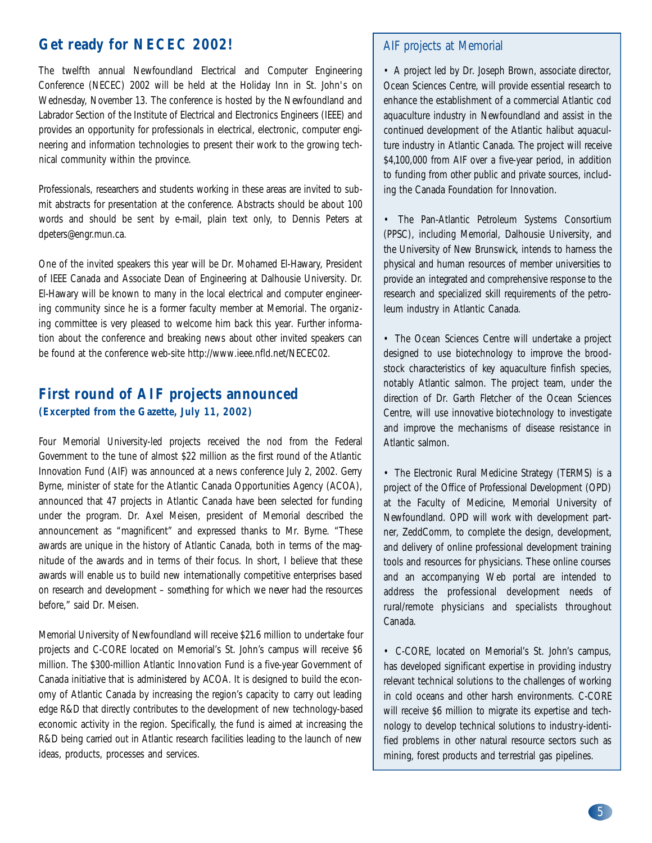#### **Get ready for NECEC 2002!**

The twelfth annual Newfoundland Electrical and Computer Engineering Conference (NECEC) 2002 will be held at the Holiday Inn in St. John's on Wednesday, November 13. The conference is hosted by the Newfoundland and Labrador Section of the Institute of Electrical and Electronics Engineers (IEEE) and provides an opportunity for professionals in electrical, electronic, computer engineering and information technologies to present their work to the growing technical community within the province.

Professionals, researchers and students working in these areas are invited to submit abstracts for presentation at the conference. Abstracts should be about 100 words and should be sent by e-mail, plain text only, to Dennis Peters at dpeters@engr.mun.ca.

One of the invited speakers this year will be Dr. Mohamed El-Hawary, President of IEEE Canada and Associate Dean of Engineering at Dalhousie University. Dr. El-Hawary will be known to many in the local electrical and computer engineering community since he is a former faculty member at Memorial. The organizing committee is very pleased to welcome him back this year. Further information about the conference and breaking news about other invited speakers can be found at the conference web-site http://www.ieee.nfld.net/NECEC02.

#### **First round of AIF projects announced (Excerpted from the Gazette, July 11, 2002)**

Four Memorial University-led projects received the nod from the Federal Government to the tune of almost \$22 million as the first round of the Atlantic Innovation Fund (AIF) was announced at a news conference July 2, 2002. Gerry Byrne, minister of state for the Atlantic Canada Opportunities Agency (ACOA), announced that 47 projects in Atlantic Canada have been selected for funding under the program. Dr. Axel Meisen, president of Memorial described the announcement as "magnificent" and expressed thanks to Mr. Byrne. "These awards are unique in the history of Atlantic Canada, both in terms of the magnitude of the awards and in terms of their focus. In short, I believe that these awards will enable us to build new internationally competitive enterprises based on research and development – something for which we never had the resources before," said Dr. Meisen.

Memorial University of Newfoundland will receive \$21.6 million to undertake four projects and C-CORE located on Memorial's St. John's campus will receive \$6 million. The \$300-million Atlantic Innovation Fund is a five-year Government of Canada initiative that is administered by ACOA. It is designed to build the economy of Atlantic Canada by increasing the region's capacity to carry out leading edge R&D that directly contributes to the development of new technology-based economic activity in the region. Specifically, the fund is aimed at increasing the R&D being carried out in Atlantic research facilities leading to the launch of new ideas, products, processes and services.

#### AIF projects at Memorial

• A project led by Dr. Joseph Brown, associate director, Ocean Sciences Centre, will provide essential research to enhance the establishment of a commercial Atlantic cod aquaculture industry in Newfoundland and assist in the continued development of the Atlantic halibut aquaculture industry in Atlantic Canada. The project will receive \$4,100,000 from AIF over a five-year period, in addition to funding from other public and private sources, including the Canada Foundation for Innovation.

• The Pan-Atlantic Petroleum Systems Consortium (PPSC), including Memorial, Dalhousie University, and the University of New Brunswick, intends to harness the physical and human resources of member universities to provide an integrated and comprehensive response to the research and specialized skill requirements of the petroleum industry in Atlantic Canada.

• The Ocean Sciences Centre will undertake a project designed to use biotechnology to improve the broodstock characteristics of key aquaculture finfish species, notably Atlantic salmon. The project team, under the direction of Dr. Garth Fletcher of the Ocean Sciences Centre, will use innovative biotechnology to investigate and improve the mechanisms of disease resistance in Atlantic salmon.

• The Electronic Rural Medicine Strategy (TERMS) is a project of the Office of Professional Development (OPD) at the Faculty of Medicine, Memorial University of Newfoundland. OPD will work with development partner, ZeddComm, to complete the design, development, and delivery of online professional development training tools and resources for physicians. These online courses and an accompanying Web portal are intended to address the professional development needs of rural/remote physicians and specialists throughout Canada.

• C-CORE, located on Memorial's St. John's campus, has developed significant expertise in providing industry relevant technical solutions to the challenges of working in cold oceans and other harsh environments. C-CORE will receive \$6 million to migrate its expertise and technology to develop technical solutions to industr y-identified problems in other natural resource sectors such as mining, forest products and terrestrial gas pipelines.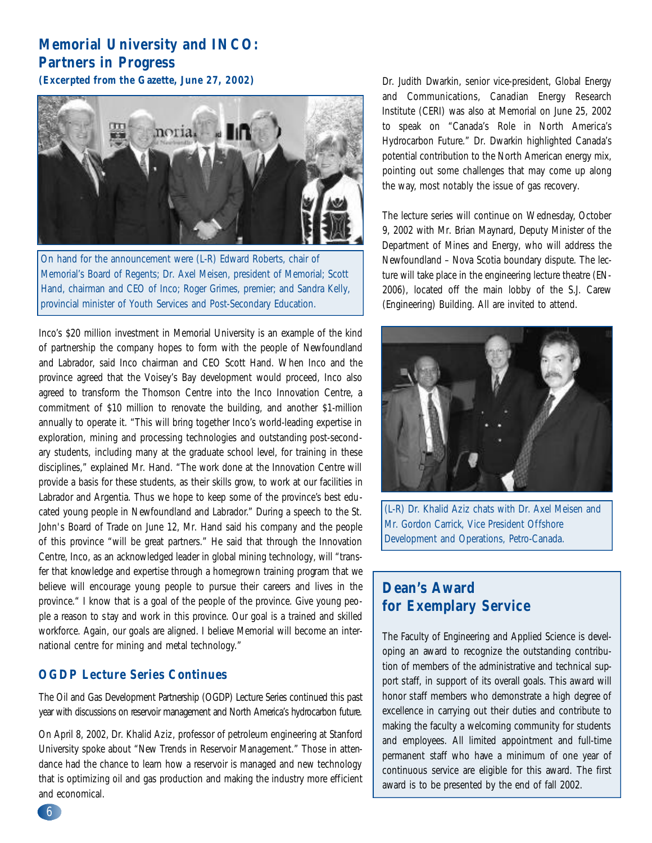### **Memorial University and INCO: Partners in Progress**

**(Excerpted from the Gazette, June 27, 2002)**



On hand for the announcement were (L-R) Edward Roberts, chair of Memorial's Board of Regents; Dr. Axel Meisen, president of Memorial; Scott Hand, chairman and CEO of Inco; Roger Grimes, premier; and Sandra Kelly, provincial minister of Youth Services and Post-Secondary Education.

Inco's \$20 million investment in Memorial University is an example of the kind of partnership the company hopes to form with the people of Newfoundland and Labrador, said Inco chairman and CEO Scott Hand. When Inco and the province agreed that the Voisey's Bay development would proceed, Inco also agreed to transform the Thomson Centre into the Inco Innovation Centre, a commitment of \$10 million to renovate the building, and another \$1-million annually to operate it. "This will bring together Inco's world-leading expertise in exploration, mining and processing technologies and outstanding post-secondary students, including many at the graduate school level, for training in these disciplines," explained Mr. Hand. "The work done at the Innovation Centre will provide a basis for these students, as their skills grow, to work at our facilities in Labrador and Argentia. Thus we hope to keep some of the province's best educated young people in Newfoundland and Labrador." During a speech to the St. John's Board of Trade on June 12, Mr. Hand said his company and the people of this province "will be great partners." He said that through the Innovation Centre, Inco, as an acknowledged leader in global mining technology, will "transfer that knowledge and expertise through a homegrown training program that we believe will encourage young people to pursue their careers and lives in the province." I know that is a goal of the people of the province. Give young people a reason to stay and work in this province. Our goal is a trained and skilled workforce. Again, our goals are aligned. I believe Memorial will become an international centre for mining and metal technology."

#### **OGDP Lecture Series Continues**

The Oil and Gas Development Partnership (OGDP) Lecture Series continued this past year with discussions on reservoir management and North America's hydrocarbon future.

On April 8, 2002, Dr. Khalid Aziz, professor of petroleum engineering at Stanford University spoke about "New Trends in Reservoir Management." Those in attendance had the chance to learn how a reservoir is managed and new technology that is optimizing oil and gas production and making the industry more efficient and economical.

Dr. Judith Dwarkin, senior vice-president, Global Energy and Communications, Canadian Energy Research Institute (CERI) was also at Memorial on June 25, 2002 to speak on "Canada's Role in North America's Hydrocarbon Future." Dr. Dwarkin highlighted Canada's potential contribution to the North American energy mix, pointing out some challenges that may come up along the way, most notably the issue of gas recovery.

The lecture series will continue on Wednesday, October 9, 2002 with Mr. Brian Maynard, Deputy Minister of the Department of Mines and Energy, who will address the Newfoundland – Nova Scotia boundary dispute. The lecture will take place in the engineering lecture theatre (EN-2006), located off the main lobby of the S.J. Carew (Engineering) Building. All are invited to attend.



(L-R) Dr. Khalid Aziz chats with Dr. Axel Meisen and Mr. Gordon Carrick, Vice President Offshore Development and Operations, Petro-Canada.

#### Dean's Award **for Exemplary Service**

The Faculty of Engineering and Applied Science is developing an award to recognize the outstanding contribution of members of the administrative and technical support staff, in support of its overall goals. This award will honor staff members who demonstrate a high degree of excellence in carrying out their duties and contribute to making the faculty a welcoming community for students and employees. All limited appointment and full-time permanent staff who have a minimum of one year of continuous service are eligible for this award. The first award is to be presented by the end of fall 2002.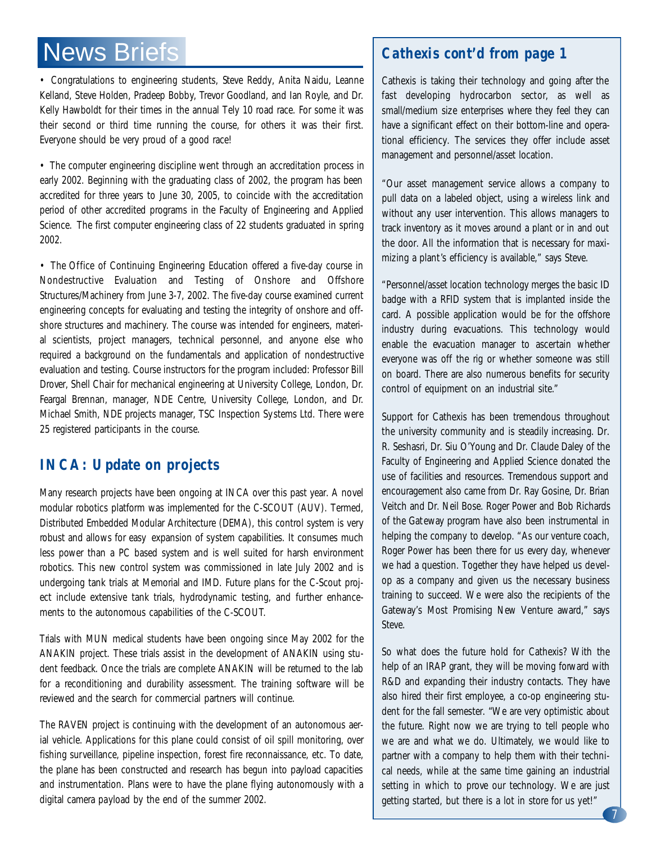### News Briefs

• Congratulations to engineering students, Steve Reddy, Anita Naidu, Leanne Kelland, Steve Holden, Pradeep Bobby, Trevor Goodland, and Ian Royle, and Dr. Kelly Hawboldt for their times in the annual Tely 10 road race. For some it was their second or third time running the course, for others it was their first. Everyone should be very proud of a good race!

• The computer engineering discipline went through an accreditation process in early 2002. Beginning with the graduating class of 2002, the program has been accredited for three years to June 30, 2005, to coincide with the accreditation period of other accredited programs in the Faculty of Engineering and Applied Science. The first computer engineering class of 22 students graduated in spring 2002.

• The Office of Continuing Engineering Education offered a five-day course in Nondestructive Evaluation and Testing of Onshore and Offshore Structures/Machinery from June 3-7, 2002. The five-day course examined current engineering concepts for evaluating and testing the integrity of onshore and offshore structures and machinery. The course was intended for engineers, material scientists, project managers, technical personnel, and anyone else who required a background on the fundamentals and application of nondestructive evaluation and testing. Course instructors for the program included: Professor Bill Drover, Shell Chair for mechanical engineering at University College, London, Dr. Feargal Brennan, manager, NDE Centre, University College, London, and Dr. Michael Smith, NDE projects manager, TSC Inspection Systems Ltd. There were 25 registered participants in the course.

#### **INCA: Update on projects**

Many research projects have been ongoing at INCA over this past year. A novel modular robotics platform was implemented for the C-SCOUT (AUV). Termed, Distributed Embedded Modular Architecture (DEMA), this control system is very robust and allows for easy expansion of system capabilities. It consumes much less power than a PC based system and is well suited for harsh environment robotics. This new control system was commissioned in late July 2002 and is undergoing tank trials at Memorial and IMD. Future plans for the C-Scout project include extensive tank trials, hydrodynamic testing, and further enhancements to the autonomous capabilities of the C-SCOUT.

Trials with MUN medical students have been ongoing since May 2002 for the ANAKIN project. These trials assist in the development of ANAKIN using student feedback. Once the trials are complete ANAKIN will be returned to the lab for a reconditioning and durability assessment. The training software will be reviewed and the search for commercial partners will continue.

The RAVEN project is continuing with the development of an autonomous aerial vehicle. Applications for this plane could consist of oil spill monitoring, over fishing surveillance, pipeline inspection, forest fire reconnaissance, etc. To date, the plane has been constructed and research has begun into payload capacities and instrumentation. Plans were to have the plane flying autonomously with a digital camera payload by the end of the summer 2002.

#### *Cathexis cont'd from page 1*

Cathexis is taking their technology and going after the fast developing hydrocarbon sector, as well as small/medium size enterprises where they feel they can have a significant effect on their bottom-line and operational efficiency. The services they offer include asset management and personnel/asset location.

"Our asset management service allows a company to pull data on a labeled object, using a wireless link and without any user intervention. This allows managers to track inventory as it moves around a plant or in and out the door. All the information that is necessary for maximizing a plant's efficiency is available," says Steve.

"Personnel/asset location technology merges the basic ID badge with a RFID system that is implanted inside the card. A possible application would be for the offshore industry during evacuations. This technology would enable the evacuation manager to ascertain whether everyone was off the rig or whether someone was still on board. There are also numerous benefits for security control of equipment on an industrial site."

Support for Cathexis has been tremendous throughout the university community and is steadily increasing. Dr. R. Seshasri, Dr. Siu O'Young and Dr. Claude Daley of the Faculty of Engineering and Applied Science donated the use of facilities and resources. Tremendous support and encouragement also came from Dr. Ray Gosine, Dr. Brian Veitch and Dr. Neil Bose. Roger Power and Bob Richards of the Gateway program have also been instrumental in helping the company to develop. "As our venture coach, Roger Power has been there for us every day, whenever we had a question. Together they have helped us develop as a company and given us the necessary business training to succeed. We were also the recipients of the Gateway's Most Promising New Venture award," says Steve.

So what does the future hold for Cathexis? With the help of an IRAP grant, they will be moving forward with R&D and expanding their industry contacts. They have also hired their first employee, a co-op engineering student for the fall semester. "We are very optimistic about the future. Right now we are trying to tell people who we are and what we do. Ultimately, we would like to partner with a company to help them with their technical needs, while at the same time gaining an industrial setting in which to prove our technology. We are just getting started, but there is a lot in store for us yet!"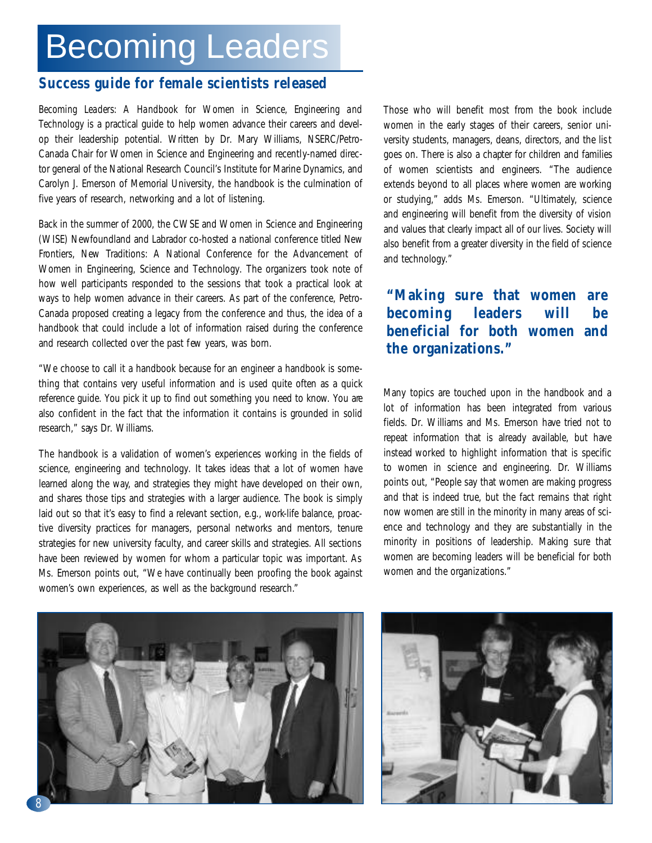### Becoming Leaders

#### **Success guide for female scientists released**

*Becoming Leaders: A Handbook for Women in Science, Engineering and Technology* is a practical guide to help women advance their careers and develop their leadership potential. Written by Dr. Mary Williams, NSERC/Petro-Canada Chair for Women in Science and Engineering and recently-named director general of the National Research Council's Institute for Marine Dynamics, and Carolyn J. Emerson of Memorial University, the handbook is the culmination of five years of research, networking and a lot of listening.

Back in the summer of 2000, the CWSE and Women in Science and Engineering (WISE) Newfoundland and Labrador co-hosted a national conference titled New Frontiers, New Traditions: A National Conference for the Advancement of Women in Engineering, Science and Technology. The organizers took note of how well participants responded to the sessions that took a practical look at ways to help women advance in their careers. As part of the conference, Petro-Canada proposed creating a legacy from the conference and thus, the idea of a handbook that could include a lot of information raised during the conference and research collected over the past few years, was born.

"We choose to call it a handbook because for an engineer a handbook is something that contains very useful information and is used quite often as a quick reference guide. You pick it up to find out something you need to know. You are also confident in the fact that the information it contains is grounded in solid research," says Dr. Williams.

The handbook is a validation of women's experiences working in the fields of science, engineering and technology. It takes ideas that a lot of women have learned along the way, and strategies they might have developed on their own, and shares those tips and strategies with a larger audience. The book is simply laid out so that it's easy to find a relevant section, e.g., work-life balance, proactive diversity practices for managers, personal networks and mentors, tenure strategies for new university faculty, and career skills and strategies. All sections have been reviewed by women for whom a particular topic was important. As Ms. Emerson points out, "We have continually been proofing the book against women's own experiences, as well as the background research."

Those who will benefit most from the book include women in the early stages of their careers, senior university students, managers, deans, directors, and the list goes on. There is also a chapter for children and families of women scientists and engineers. "The audience extends beyond to all places where women are working or studying," adds Ms. Emerson. "Ultimately, science and engineering will benefit from the diversity of vision and values that clearly impact all of our lives. Society will also benefit from a greater diversity in the field of science and technology."

#### **"Making sure that women are becoming leaders will be beneficial for both women and the organizations."**

Many topics are touched upon in the handbook and a lot of information has been integrated from various fields. Dr. Williams and Ms. Emerson have tried not to repeat information that is already available, but have instead worked to highlight information that is specific to women in science and engineering. Dr. Williams points out, "People say that women are making progress and that is indeed true, but the fact remains that right now women are still in the minority in many areas of science and technology and they are substantially in the minority in positions of leadership. Making sure that women are becoming leaders will be beneficial for both women and the organizations."



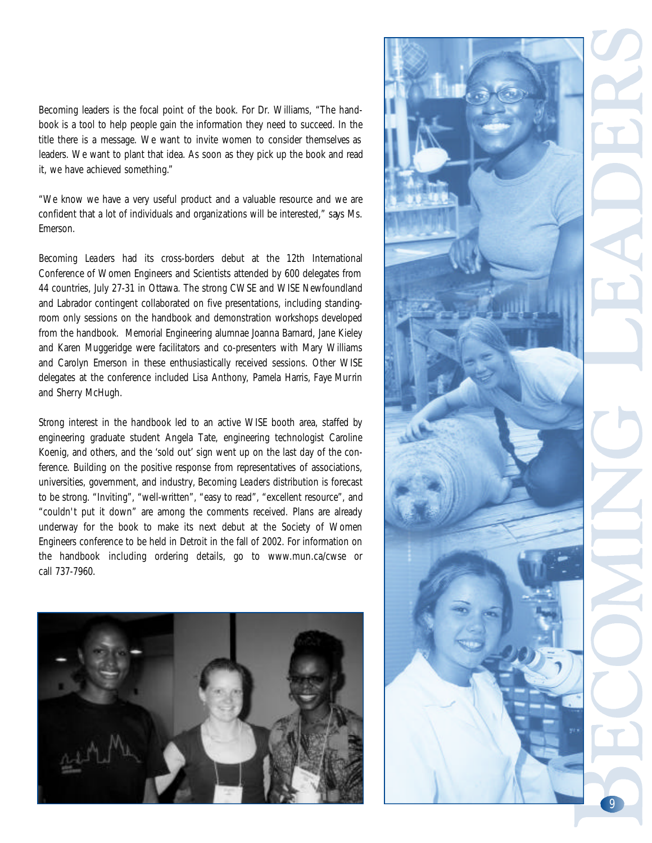Becoming leaders is the focal point of the book. For Dr. Williams, "The handbook is a tool to help people gain the information they need to succeed. In the title there is a message. We want to invite women to consider themselves as leaders. We want to plant that idea. As soon as they pick up the book and read it, we have achieved something."

"We know we have a very useful product and a valuable resource and we are confident that a lot of individuals and organizations will be interested," says Ms. Emerson.

*Becoming Leaders* had its cross-borders debut at the 12th International Conference of Women Engineers and Scientists attended by 600 delegates from 44 countries, July 27-31 in Ottawa. The strong CWSE and WISE Newfoundland and Labrador contingent collaborated on five presentations, including standingroom only sessions on the handbook and demonstration workshops developed from the handbook. Memorial Engineering alumnae Joanna Barnard, Jane Kieley and Karen Muggeridge were facilitators and co-presenters with Mary Williams and Carolyn Emerson in these enthusiastically received sessions. Other WISE delegates at the conference included Lisa Anthony, Pamela Harris, Faye Murrin and Sherry McHugh.

Strong interest in the handbook led to an active WISE booth area, staffed by engineering graduate student Angela Tate, engineering technologist Caroline Koenig, and others, and the 'sold out' sign went up on the last day of the conference. Building on the positive response from representatives of associations, universities, government, and industry, *Becoming Leaders* distribution is forecast to be strong. "Inviting", "well-written", "easy to read", "excellent resource", and "couldn't put it down" are among the comments received. Plans are already underway for the book to make its next debut at the Society of Women Engineers conference to be held in Detroit in the fall of 2002. For information on the handbook including ordering details, go to www.mun.ca/cwse or call 737-7960.



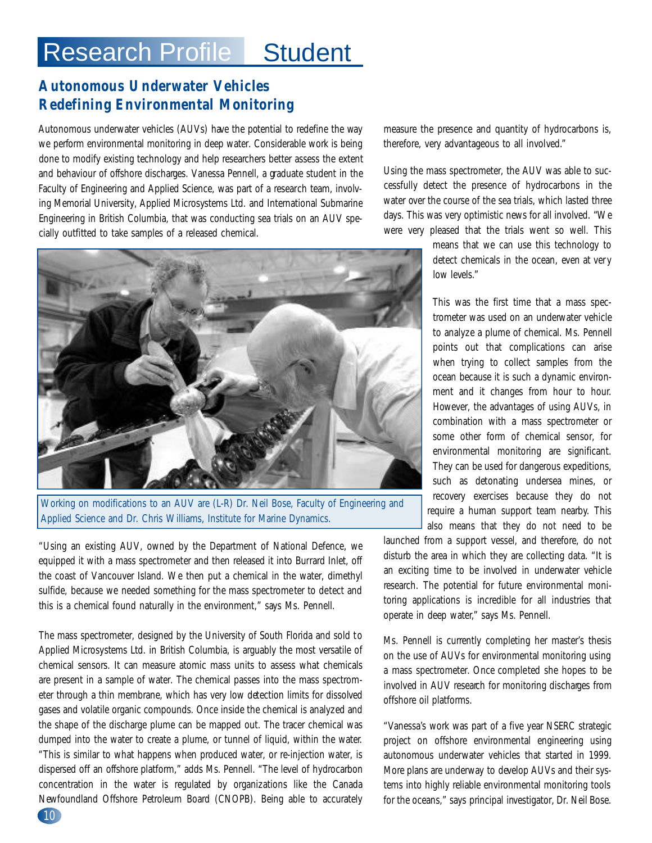### Research Profile Student

#### **Autonomous Underwater Vehicles Redefining Environmental Monitoring**

Autonomous underwater vehicles (AUVs) have the potential to redefine the way we perform environmental monitoring in deep water. Considerable work is being done to modify existing technology and help researchers better assess the extent and behaviour of offshore discharges. Vanessa Pennell, a graduate student in the Faculty of Engineering and Applied Science, was part of a research team, involving Memorial University, Applied Microsystems Ltd. and International Submarine Engineering in British Columbia, that was conducting sea trials on an AUV specially outfitted to take samples of a released chemical.



Working on modifications to an AUV are (L-R) Dr. Neil Bose, Faculty of Engineering and Applied Science and Dr. Chris Williams, Institute for Marine Dynamics.

"Using an existing AUV, owned by the Department of National Defence, we equipped it with a mass spectrometer and then released it into Burrard Inlet, off the coast of Vancouver Island. We then put a chemical in the water, dimethyl sulfide, because we needed something for the mass spectrometer to detect and this is a chemical found naturally in the environment," says Ms. Pennell.

The mass spectrometer, designed by the University of South Florida and sold to Applied Microsystems Ltd. in British Columbia, is arguably the most versatile of chemical sensors. It can measure atomic mass units to assess what chemicals are present in a sample of water. The chemical passes into the mass spectrometer through a thin membrane, which has very low detection limits for dissolved gases and volatile organic compounds. Once inside the chemical is analyzed and the shape of the discharge plume can be mapped out. The tracer chemical was dumped into the water to create a plume, or tunnel of liquid, within the water. "This is similar to what happens when produced water, or re-injection water, is dispersed off an offshore platform," adds Ms. Pennell. "The level of hydrocarbon concentration in the water is regulated by organizations like the Canada Newfoundland Offshore Petroleum Board (CNOPB). Being able to accurately measure the presence and quantity of hydrocarbons is, therefore, very advantageous to all involved."

Using the mass spectrometer, the AUV was able to successfully detect the presence of hydrocarbons in the water over the course of the sea trials, which lasted three days. This was very optimistic news for all involved. "We were very pleased that the trials went so well. This

> means that we can use this technology to detect chemicals in the ocean, even at ver y low levels."

This was the first time that a mass spectrometer was used on an underwater vehicle to analyze a plume of chemical. Ms. Pennell points out that complications can arise when trying to collect samples from the ocean because it is such a dynamic environment and it changes from hour to hour. However, the advantages of using AUVs, in combination with a mass spectrometer or some other form of chemical sensor, for environmental monitoring are significant. They can be used for dangerous expeditions, such as detonating undersea mines, or recovery exercises because they do not require a human support team nearby. This also means that they do not need to be

launched from a support vessel, and therefore, do not disturb the area in which they are collecting data. "It is an exciting time to be involved in underwater vehicle research. The potential for future environmental monitoring applications is incredible for all industries that operate in deep water," says Ms. Pennell.

Ms. Pennell is currently completing her master's thesis on the use of AUVs for environmental monitoring using a mass spectrometer. Once completed she hopes to be involved in AUV research for monitoring discharges from offshore oil platforms.

"Vanessa's work was part of a five year NSERC strategic project on offshore environmental engineering using autonomous underwater vehicles that started in 1999. More plans are underway to develop AUVs and their systems into highly reliable environmental monitoring tools for the oceans," says principal investigator, Dr. Neil Bose.

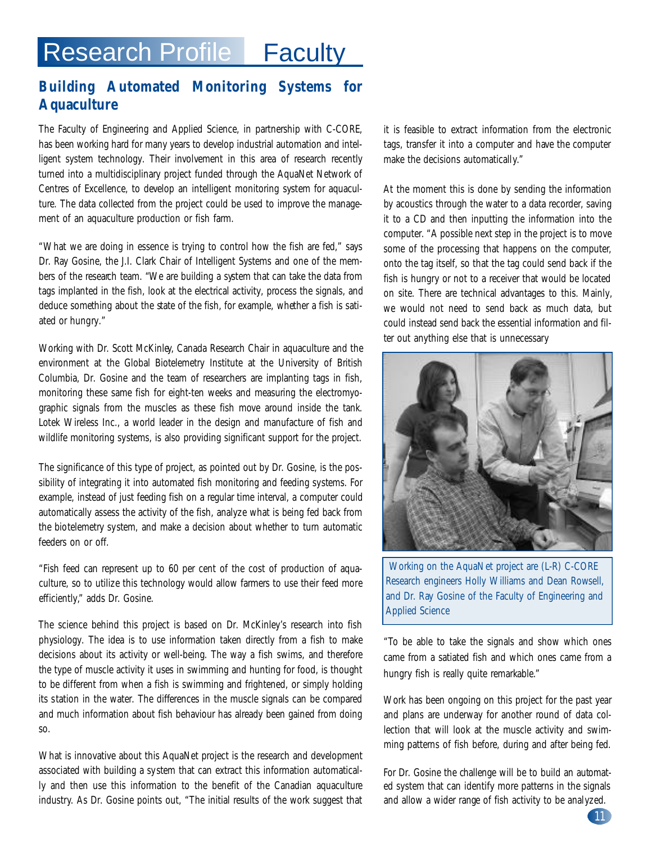### Research Profile | Faculty

#### **Building Automated Monitoring Systems for Aquaculture**

The Faculty of Engineering and Applied Science, in partnership with C-CORE, has been working hard for many years to develop industrial automation and intelligent system technology. Their involvement in this area of research recently turned into a multidisciplinary project funded through the AquaNet Network of Centres of Excellence, to develop an intelligent monitoring system for aquaculture. The data collected from the project could be used to improve the management of an aquaculture production or fish farm.

"What we are doing in essence is trying to control how the fish are fed," says Dr. Ray Gosine, the J.I. Clark Chair of Intelligent Systems and one of the members of the research team. "We are building a system that can take the data from tags implanted in the fish, look at the electrical activity, process the signals, and deduce something about the state of the fish, for example, whether a fish is satiated or hungry."

Working with Dr. Scott McKinley, Canada Research Chair in aquaculture and the environment at the Global Biotelemetry Institute at the University of British Columbia, Dr. Gosine and the team of researchers are implanting tags in fish, monitoring these same fish for eight-ten weeks and measuring the electromyographic signals from the muscles as these fish move around inside the tank. Lotek Wireless Inc., a world leader in the design and manufacture of fish and wildlife monitoring systems, is also providing significant support for the project.

The significance of this type of project, as pointed out by Dr. Gosine, is the possibility of integrating it into automated fish monitoring and feeding systems. For example, instead of just feeding fish on a regular time interval, a computer could automatically assess the activity of the fish, analyze what is being fed back from the biotelemetry system, and make a decision about whether to turn automatic feeders on or off.

"Fish feed can represent up to 60 per cent of the cost of production of aquaculture, so to utilize this technology would allow farmers to use their feed more efficiently," adds Dr. Gosine.

The science behind this project is based on Dr. McKinley's research into fish physiology. The idea is to use information taken directly from a fish to make decisions about its activity or well-being. The way a fish swims, and therefore the type of muscle activity it uses in swimming and hunting for food, is thought to be different from when a fish is swimming and frightened, or simply holding its station in the water. The differences in the muscle signals can be compared and much information about fish behaviour has already been gained from doing so.

What is innovative about this AquaNet project is the research and development associated with building a system that can extract this information automatically and then use this information to the benefit of the Canadian aquaculture industry. As Dr. Gosine points out, "The initial results of the work suggest that it is feasible to extract information from the electronic tags, transfer it into a computer and have the computer make the decisions automatically."

At the moment this is done by sending the information by acoustics through the water to a data recorder, saving it to a CD and then inputting the information into the computer. "A possible next step in the project is to move some of the processing that happens on the computer, onto the tag itself, so that the tag could send back if the fish is hungry or not to a receiver that would be located on site. There are technical advantages to this. Mainly, we would not need to send back as much data, but could instead send back the essential information and filter out anything else that is unnecessary



Working on the AquaNet project are (L-R) C-CORE Research engineers Holly Williams and Dean Rowsell, and Dr. Ray Gosine of the Faculty of Engineering and Applied Science

"To be able to take the signals and show which ones came from a satiated fish and which ones came from a hungry fish is really quite remarkable."

Work has been ongoing on this project for the past year and plans are underway for another round of data collection that will look at the muscle activity and swimming patterns of fish before, during and after being fed.

For Dr. Gosine the challenge will be to build an automated system that can identify more patterns in the signals and allow a wider range of fish activity to be analyzed.

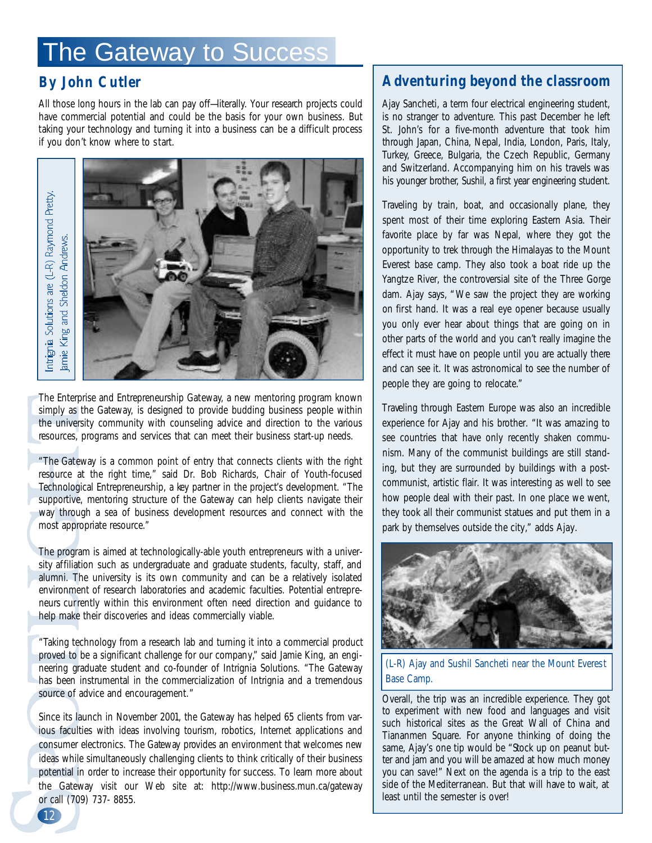### The Gateway to Success

#### **By John Cutler**

All those long hours in the lab can pay off—literally. Your research projects could have commercial potential and could be the basis for your own business. But taking your technology and turning it into a business can be a difficult process if you don't know where to start.



The Enterprise and Entrepreneurship Gateway, a new mentoring program known simply as the Gateway, is designed to provide budding business people within the university community with counseling advice and direction to the various resources, programs and services that can meet their business start-up needs.

"The Gateway is a common point of entry that connects clients with the right resource at the right time," said Dr. Bob Richards, Chair of Youth-focused Technological Entrepreneurship, a key partner in the project's development. "The supportive, mentoring structure of the Gateway can help clients navigate their way through a sea of business development resources and connect with the most appropriate resource."

The program is aimed at technologically-able youth entrepreneurs with a university affiliation such as undergraduate and graduate students, faculty, staff, and alumni. The university is its own community and can be a relatively isolated environment of research laboratories and academic faculties. Potential entrepreneurs currently within this environment often need direction and guidance to help make their discoveries and ideas commercially viable.

"Taking technology from a research lab and turning it into a commercial product proved to be a significant challenge for our company," said Jamie King, an engineering graduate student and co-founder of Intrignia Solutions. "The Gateway has been instrumental in the commercialization of Intrignia and a tremendous source of advice and encouragement."

Since its launch in November 2001, the Gateway has helped 65 clients from various faculties with ideas involving tourism, robotics, Internet applications and consumer electronics. The Gateway provides an environment that welcomes new ideas while simultaneously challenging clients to think critically of their business potential in order to increase their opportunity for success. To learn more about the Gateway visit our Web site at: http://www.business.mun.ca/gateway or call (709) 737- 8855.

#### **Adventuring beyond the classroom**

Ajay Sancheti, a term four electrical engineering student, is no stranger to adventure. This past December he left St. John's for a five-month adventure that took him through Japan, China, Nepal, India, London, Paris, Italy, Turkey, Greece, Bulgaria, the Czech Republic, Germany and Switzerland. Accompanying him on his travels was his younger brother, Sushil, a first year engineering student.

Traveling by train, boat, and occasionally plane, they spent most of their time exploring Eastern Asia. Their favorite place by far was Nepal, where they got the opportunity to trek through the Himalayas to the Mount Everest base camp. They also took a boat ride up the Yangtze River, the controversial site of the Three Gorge dam. Ajay says, "We saw the project they are working on first hand. It was a real eye opener because usually you only ever hear about things that are going on in other parts of the world and you can't really imagine the effect it must have on people until you are actually there and can see it. It was astronomical to see the number of people they are going to relocate."

Traveling through Eastern Europe was also an incredible experience for Ajay and his brother. "It was amazing to see countries that have only recently shaken communism. Many of the communist buildings are still standing, but they are surrounded by buildings with a postcommunist, artistic flair. It was interesting as well to see how people deal with their past. In one place we went, they took all their communist statues and put them in a park by themselves outside the city," adds Ajay.



(L-R) Ajay and Sushil Sancheti near the Mount Everest Base Camp.

Overall, the trip was an incredible experience. They got to experiment with new food and languages and visit such historical sites as the Great Wall of China and Tiananmen Square. For anyone thinking of doing the same, Ajay's one tip would be "Stock up on peanut butter and jam and you will be amazed at how much money you can save!" Next on the agenda is a trip to the east side of the Mediterranean. But that will have to wait, at least until the semester is over!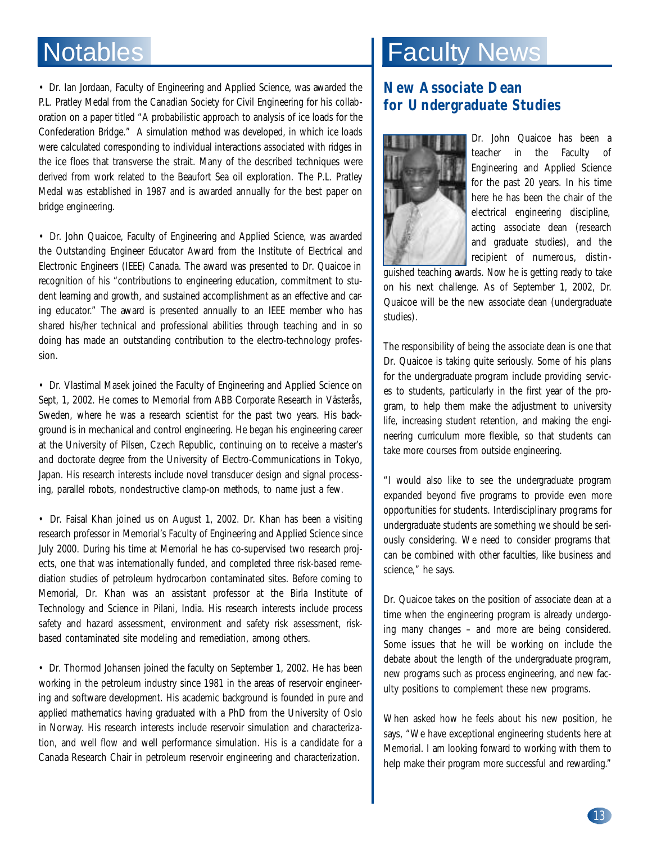• Dr. Ian Jordaan, Faculty of Engineering and Applied Science, was awarded the P.L. Pratley Medal from the Canadian Society for Civil Engineering for his collaboration on a paper titled "A probabilistic approach to analysis of ice loads for the Confederation Bridge." A simulation method was developed, in which ice loads were calculated corresponding to individual interactions associated with ridges in the ice floes that transverse the strait. Many of the described techniques were derived from work related to the Beaufort Sea oil exploration. The P.L. Pratley Medal was established in 1987 and is awarded annually for the best paper on bridge engineering.

• Dr. John Quaicoe, Faculty of Engineering and Applied Science, was awarded the Outstanding Engineer Educator Award from the Institute of Electrical and Electronic Engineers (IEEE) Canada. The award was presented to Dr. Quaicoe in recognition of his "contributions to engineering education, commitment to student learning and growth, and sustained accomplishment as an effective and caring educator." The award is presented annually to an IEEE member who has shared his/her technical and professional abilities through teaching and in so doing has made an outstanding contribution to the electro-technology profession.

• Dr. Vlastimal Masek joined the Faculty of Engineering and Applied Science on Sept, 1, 2002. He comes to Memorial from ABB Corporate Research in Västerås, Sweden, where he was a research scientist for the past two years. His background is in mechanical and control engineering. He began his engineering career at the University of Pilsen, Czech Republic, continuing on to receive a master's and doctorate degree from the University of Electro-Communications in Tokyo, Japan. His research interests include novel transducer design and signal processing, parallel robots, nondestructive clamp-on methods, to name just a few.

• Dr. Faisal Khan joined us on August 1, 2002. Dr. Khan has been a visiting research professor in Memorial's Faculty of Engineering and Applied Science since July 2000. During his time at Memorial he has co-supervised two research projects, one that was internationally funded, and completed three risk-based remediation studies of petroleum hydrocarbon contaminated sites. Before coming to Memorial, Dr. Khan was an assistant professor at the Birla Institute of Technology and Science in Pilani, India. His research interests include process safety and hazard assessment, environment and safety risk assessment, riskbased contaminated site modeling and remediation, among others.

• Dr. Thormod Johansen joined the faculty on September 1, 2002. He has been working in the petroleum industry since 1981 in the areas of reservoir engineering and software development. His academic background is founded in pure and applied mathematics having graduated with a PhD from the University of Oslo in Norway. His research interests include reservoir simulation and characterization, and well flow and well performance simulation. His is a candidate for a Canada Research Chair in petroleum reservoir engineering and characterization.

### Notables **Faculty News**

#### **New Associate Dean for Undergraduate Studies**



Dr. John Quaicoe has been a teacher in the Faculty of Engineering and Applied Science for the past 20 years. In his time here he has been the chair of the electrical engineering discipline, acting associate dean (research and graduate studies), and the recipient of numerous, distin-

guished teaching awards. Now he is getting ready to take on his next challenge. As of September 1, 2002, Dr. Quaicoe will be the new associate dean (undergraduate studies).

The responsibility of being the associate dean is one that Dr. Quaicoe is taking quite seriously. Some of his plans for the undergraduate program include providing services to students, particularly in the first year of the program, to help them make the adjustment to university life, increasing student retention, and making the engineering curriculum more flexible, so that students can take more courses from outside engineering.

"I would also like to see the undergraduate program expanded beyond five programs to provide even more opportunities for students. Interdisciplinary programs for undergraduate students are something we should be seriously considering. We need to consider programs that can be combined with other faculties, like business and science," he says.

Dr. Quaicoe takes on the position of associate dean at a time when the engineering program is already undergoing many changes – and more are being considered. Some issues that he will be working on include the debate about the length of the undergraduate program, new programs such as process engineering, and new faculty positions to complement these new programs.

When asked how he feels about his new position, he says, "We have exceptional engineering students here at Memorial. I am looking forward to working with them to help make their program more successful and rewarding."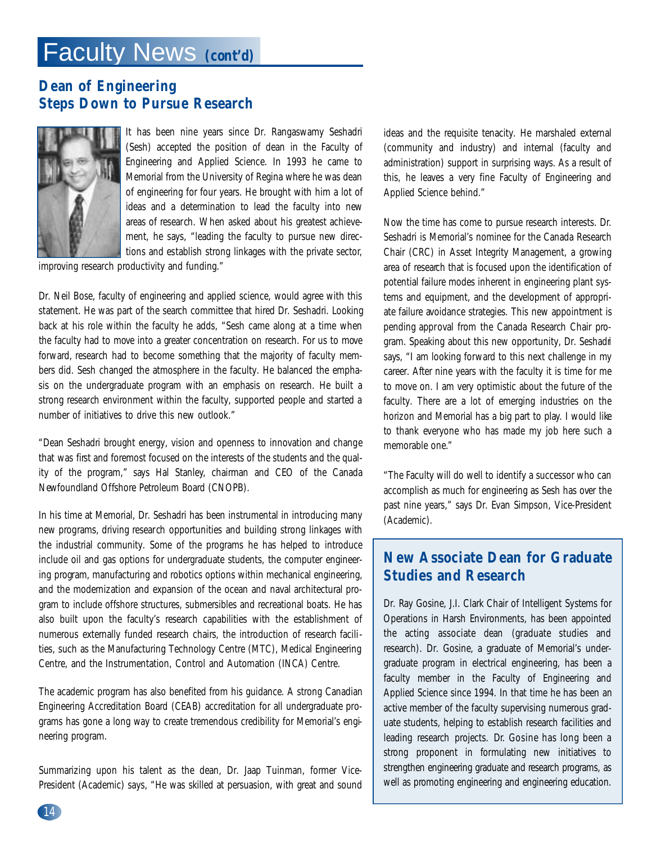### Faculty News **(***cont'd***)**

#### **Dean of Engineering Steps Down to Pursue Research**



It has been nine years since Dr. Rangaswamy Seshadri (Sesh) accepted the position of dean in the Faculty of Engineering and Applied Science. In 1993 he came to Memorial from the University of Regina where he was dean of engineering for four years. He brought with him a lot of ideas and a determination to lead the faculty into new areas of research. When asked about his greatest achievement, he says, "leading the faculty to pursue new directions and establish strong linkages with the private sector,

improving research productivity and funding."

Dr. Neil Bose, faculty of engineering and applied science, would agree with this statement. He was part of the search committee that hired Dr. Seshadri. Looking back at his role within the faculty he adds, "Sesh came along at a time when the faculty had to move into a greater concentration on research. For us to move forward, research had to become something that the majority of faculty members did. Sesh changed the atmosphere in the faculty. He balanced the emphasis on the undergraduate program with an emphasis on research. He built a strong research environment within the faculty, supported people and started a number of initiatives to drive this new outlook."

"Dean Seshadri brought energy, vision and openness to innovation and change that was first and foremost focused on the interests of the students and the quality of the program," says Hal Stanley, chairman and CEO of the Canada Newfoundland Offshore Petroleum Board (CNOPB).

In his time at Memorial, Dr. Seshadri has been instrumental in introducing many new programs, driving resear ch opportunities and building strong linkages with the industrial community. Some of the programs he has helped to introduce include oil and gas options for undergraduate students, the computer engineering program, manufacturing and robotics options within mechanical engineering, and the modernization and expansion of the ocean and naval architectural program to include offshore structures, submersibles and recreational boats. He has also built upon the faculty's research capabilities with the establishment of numerous externally funded research chairs, the introduction of research facilities, such as the Manufacturing Technology Centre (MTC), Medical Engineering Centre, and the Instrumentation, Control and Automation (INCA) Centre.

The academic program has also benefited from his guidance. A strong Canadian Engineering Accreditation Board (CEAB) accreditation for all undergraduate programs has gone a long way to create tremendous credibility for Memorial's engineering program.

Summarizing upon his talent as the dean, Dr. Jaap Tuinman, former Vice-President (Academic) says, "He was skilled at persuasion, with great and sound ideas and the requisite tenacity. He marshaled external (community and industry) and internal (faculty and administration) support in surprising ways. As a result of this, he leaves a very fine Faculty of Engineering and Applied Science behind."

Now the time has come to pursue research interests. Dr. Seshadri is Memorial's nominee for the Canada Research Chair (CRC) in Asset Integrity Management, a growing area of research that is focused upon the identification of potential failure modes inherent in engineering plant systems and equipment, and the development of appropriate failure avoidance strategies. This new appointment is pending approval from the Canada Research Chair program. Speaking about this new opportunity, Dr. Seshadri says, "I am looking forward to this next challenge in my career. After nine years with the faculty it is time for me to move on. I am very optimistic about the future of the faculty. There are a lot of emerging industries on the horizon and Memorial has a big part to play. I would like to thank everyone who has made my job here such a memorable one."

"The Faculty will do well to identify a successor who can accomplish as much for engineering as Sesh has over the past nine years," says Dr. Evan Simpson, Vice-President (Academic).

#### **New Associate Dean for Graduate Studies and Research**

Dr. Ray Gosine, J.I. Clark Chair of Intelligent Systems for Operations in Harsh Environments, has been appointed the acting associate dean (graduate studies and research). Dr. Gosine, a graduate of Memorial's undergraduate program in electrical engineering, has been a faculty member in the Faculty of Engineering and Applied Science since 1994. In that time he has been an active member of the faculty supervising numerous graduate students, helping to establish research facilities and leading research projects. Dr. Gosine has long been a strong proponent in formulating new initiatives to strengthen engineering graduate and research programs, as well as promoting engineering and engineering education.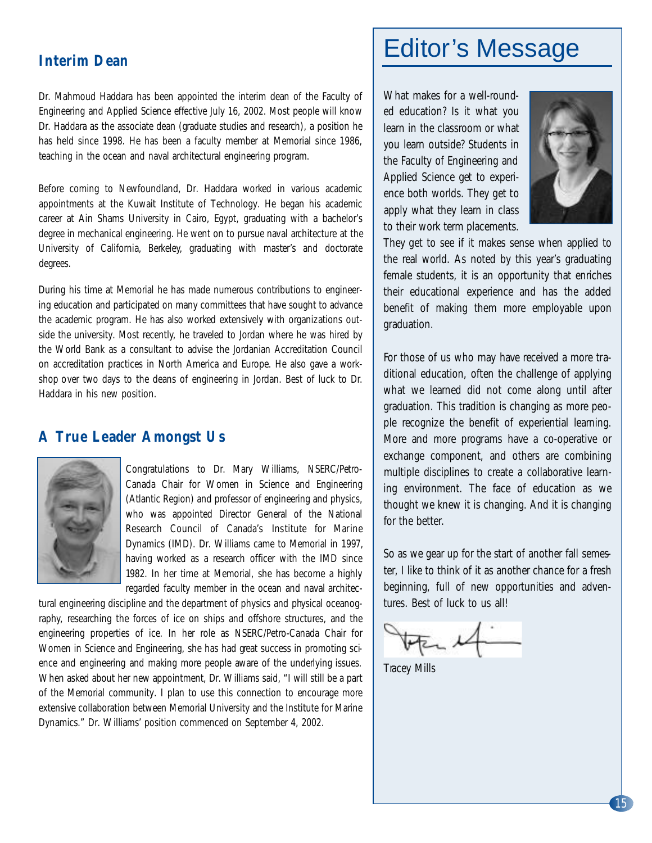#### **Interim Dean**

Dr. Mahmoud Haddara has been appointed the interim dean of the Faculty of Engineering and Applied Science effective July 16, 2002. Most people will know Dr. Haddara as the associate dean (graduate studies and research), a position he has held since 1998. He has been a faculty member at Memorial since 1986, teaching in the ocean and naval architectural engineering program.

Before coming to Newfoundland, Dr. Haddara worked in various academic appointments at the Kuwait Institute of Technology. He began his academic career at Ain Shams University in Cairo, Egypt, graduating with a bachelor's degree in mechanical engineering. He went on to pursue naval architecture at the University of California, Berkeley, graduating with master's and doctorate degrees.

During his time at Memorial he has made numerous contributions to engineering education and participated on many committees that have sought to advance the academic program. He has also worked extensively with organizations outside the university. Most recently, he traveled to Jordan where he was hired by the World Bank as a consultant to advise the Jordanian Accreditation Council on accreditation practices in North America and Europe. He also gave a workshop over two days to the deans of engineering in Jordan. Best of luck to Dr. Haddara in his new position.

#### **A True Leader Amongst Us**



Congratulations to Dr. Mary Williams, NSERC/Petro-Canada Chair for Women in Science and Engineering (Atlantic Region) and professor of engineering and physics, who was appointed Director General of the National Research Council of Canada's Institute for Marine Dynamics (IMD). Dr. Williams came to Memorial in 1997, having worked as a research officer with the IMD since 1982. In her time at Memorial, she has become a highly regarded faculty member in the ocean and naval architec-

tural engineering discipline and the department of physics and physical oceanography, researching the forces of ice on ships and offshore structures, and the engineering properties of ice. In her role as NSERC/Petro-Canada Chair for Women in Science and Engineering, she has had great success in promoting science and engineering and making more people aware of the underlying issues. When asked about her new appointment, Dr. Williams said, "I will still be a part of the Memorial community. I plan to use this connection to encourage more extensive collaboration between Memorial University and the Institute for Marine Dynamics." Dr. Williams' position commenced on September 4, 2002.

### Editor's Message

What makes for a well-rounded education? Is it what you learn in the classroom or what you learn outside? Students in the Faculty of Engineering and Applied Science get to experience both worlds. They get to apply what they learn in class to their work term placements.



They get to see if it makes sense when applied to the real world. As noted by this year's graduating female students, it is an opportunity that enriches their educational experience and has the added benefit of making them more employable upon graduation.

For those of us who may have received a more traditional education, often the challenge of applying what we learned did not come along until after graduation. This tradition is changing as more people recognize the benefit of experiential learning. More and more programs have a co-operative or exchange component, and others are combining multiple disciplines to create a collaborative learning environment. The face of education as we thought we knew it is changing. And it is changing for the better.

So as we gear up for the start of another fall semester, I like to think of it as another chance for a fresh beginning, full of new opportunities and adventures. Best of luck to us all!

Tracey Mills